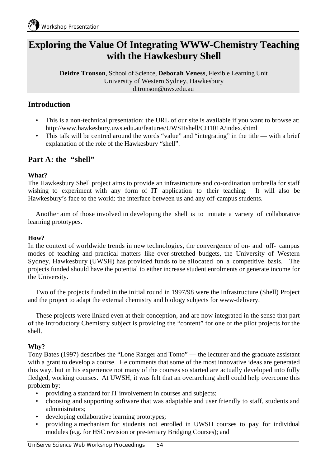# **Exploring the Value Of Integrating WWW-Chemistry Teaching with the Hawkesbury Shell**

**Deidre Tronson**, School of Science, **Deborah Veness**, Flexible Learning Unit University of Western Sydney, Hawkesbury d.tronson@uws.edu.au

## **Introduction**

- This is a non-technical presentation: the URL of our site is available if you want to browse at: http://www.hawkesbury.uws.edu.au/features/UWSHshell/CH101A/index.shtml
- This talk will be centred around the words "value" and "integrating" in the title with a brief explanation of the role of the Hawkesbury "shell".

## Part A: the "shell"

### **What?**

The Hawkesbury Shell project aims to provide an infrastructure and co-ordination umbrella for staff wishing to experiment with any form of IT application to their teaching. It will also be Hawkesbury's face to the world: the interface between us and any off-campus students.

Another aim of those involved in developing the shell is to initiate a variety of collaborative learning prototypes.

## **How?**

In the context of worldwide trends in new technologies, the convergence of on- and off- campus modes of teaching and practical matters like over-stretched budgets, the University of Western Sydney, Hawkesbury (UWSH) has provided funds to be allocated on a competitive basis. The projects funded should have the potential to either increase student enrolments or generate income for the University.

Two of the projects funded in the initial round in 1997/98 were the Infrastructure (Shell) Project and the project to adapt the external chemistry and biology subjects for www-delivery.

These projects were linked even at their conception, and are now integrated in the sense that part of the Introductory Chemistry subject is providing the "content" for one of the pilot projects for the shell.

## **Why?**

Tony Bates (1997) describes the "Lone Ranger and Tonto" — the lecturer and the graduate assistant with a grant to develop a course. He comments that some of the most innovative ideas are generated this way, but in his experience not many of the courses so started are actually developed into fully fledged, working courses. At UWSH, it was felt that an overarching shell could help overcome this problem by:

- providing a standard for IT involvement in courses and subjects;
- choosing and supporting software that was adaptable and user friendly to staff, students and administrators;
- developing collaborative learning prototypes;
- providing a mechanism for students not enrolled in UWSH courses to pay for individual modules (e.g. for HSC revision or pre-tertiary Bridging Courses); and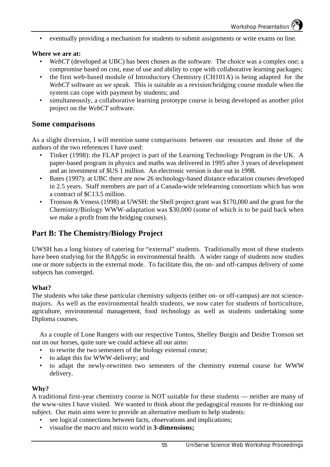• eventually providing a mechanism for students to submit assignments or write exams on line.

#### **Where we are at:**

- *WebCT* (developed at UBC) has been chosen as the software. The choice was a complex one; a compromise based on cost, ease of use and ability to cope with collaborative learning packages;
- the first web-based module of Introductory Chemistry (CH101A) is being adapted for the *WebCT* software *as we speak*. This is suitable as a revision/bridging course module when the system can cope with payment by students; and
- simultaneously, a collaborative learning prototype course is being developed as another pilot project on the *WebCT* software.

### **Some comparisons**

As a slight diversion, I will mention some comparisons between our resources and those of the authors of the two references I have used:

- Tinker (1998): the FLAP project is part of the Learning Technology Program in the UK. A paper-based program in physics and maths was delivered in 1995 after 3 years of development and an investment of \$US 1 million. An electronic version is due out in 1998.
- Bates (1997): at UBC there are now 26 technology-based distance education courses developed in 2.5 years. Staff members are part of a Canada-wide telelearning consortium which has won a contract of \$C13.5 million.
- Tronson & Veness (1998) at UWSH: the Shell project grant was \$170,000 and the grant for the Chemistry/Biology WWW-adaptation was \$30,000 (some of which is to be paid back when we make a profit from the bridging courses).

## **Part B: The Chemistry/Biology Project**

UWSH has a long history of catering for "external" students. Traditionally most of these students have been studying for the BAppSc in environmental health. A wider range of students now studies one or more subjects in the external mode. To facilitate this, the on- and off-campus delivery of some subjects has converged.

### **What?**

The students who take these particular chemistry subjects (either on- or off-campus) are not sciencemajors. As well as the environmental health students, we now cater for students of horticulture, agriculture, environmental management, food technology as well as students undertaking some Diploma courses.

As a couple of Lone Rangers with our respective Tontos, Shelley Burgin and Deidre Tronson set out on our horses, quite sure we could achieve all our aims:

- to rewrite the two semesters of the biology external course;
- to adapt this for WWW-delivery; and
- to adapt the newly-rewritten two semesters of the chemistry external course for WWW delivery.

#### **Why?**

A traditional first-year chemistry course is NOT suitable for these students — neither are many of the www-sites I have visited. We wanted to think about the pedagogical reasons for re-thinking our subject. Our main aims were to provide an alternative medium to help students:

- see logical connections between facts, observations and implications;
- visualise the macro and micro world in **3-dimensions;**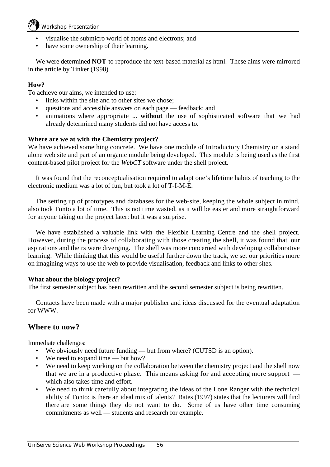## Workshop Presentation

- visualise the submicro world of atoms and electrons; and
- have some ownership of their learning.

We were determined **NOT** to reproduce the text-based material as html. These aims were mirrored in the article by Tinker (1998).

### **How?**

To achieve our aims, we intended to use:

- links within the site and to other sites we chose:
- questions and accessible answers on each page feedback; and
- animations where appropriate ... **without** the use of sophisticated software that we had already determined many students did not have access to.

### **Where are we at with the Chemistry project?**

We have achieved something concrete. We have one module of Introductory Chemistry on a stand alone web site and part of an organic module being developed. This module is being used as the first content-based pilot project for the *WebCT* software under the shell project.

It was found that the reconceptualisation required to adapt one's lifetime habits of teaching to the electronic medium was a lot of fun, but took a lot of T-I-M-E.

The setting up of prototypes and databases for the web-site, keeping the whole subject in mind, also took Tonto a lot of time. This is not time wasted, as it will be easier and more straightforward for anyone taking on the project later: but it was a surprise.

We have established a valuable link with the Flexible Learning Centre and the shell project. However, during the process of collaborating with those creating the shell, it was found that our aspirations and theirs were diverging. The shell was more concerned with developing collaborative learning. While thinking that this would be useful further down the track, we set our priorities more on imagining ways to use the web to provide visualisation, feedback and links to other sites.

### **What about the biology project?**

The first semester subject has been rewritten and the second semester subject is being rewritten.

Contacts have been made with a major publisher and ideas discussed for the eventual adaptation for WWW.

## **Where to now?**

Immediate challenges:

- We obviously need future funding but from where? (CUTSD is an option).
- We need to expand time but how?
- We need to keep working on the collaboration between the chemistry project and the shell now that we are in a productive phase. This means asking for and accepting more support which also takes time and effort.
- We need to think carefully about integrating the ideas of the Lone Ranger with the technical ability of Tonto: is there an ideal mix of talents? Bates (1997) states that the lecturers will find there are some things they do not want to do. Some of us have other time consuming commitments as well — students and research for example.